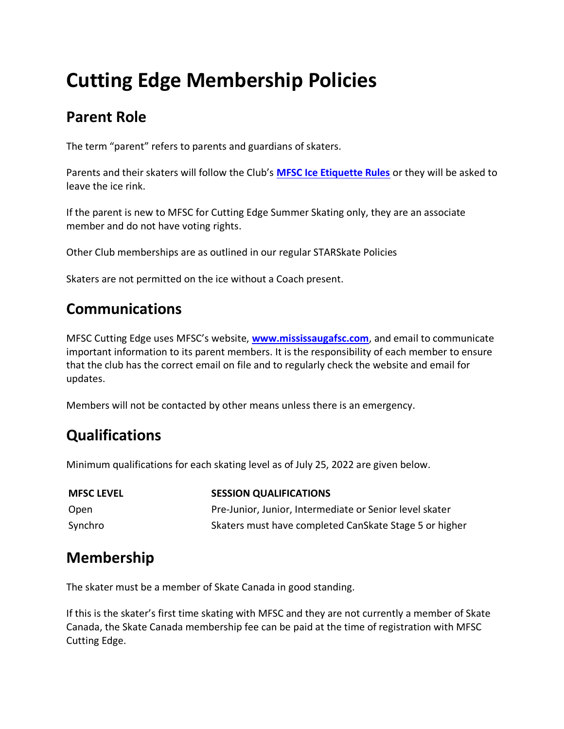# **Cutting Edge Membership Policies**

## **Parent Role**

The term "parent" refers to parents and guardians of skaters.

Parents and their skaters will follow the Club's **[MFSC Ice Etiquette Rules](/pages/fundraising/Ice-Etiquette-Rules/)** or they will be asked to leave the ice rink.

If the parent is new to MFSC for Cutting Edge Summer Skating only, they are an associate member and do not have voting rights.

Other Club memberships are as outlined in our regular STARSkate Policies

Skaters are not permitted on the ice without a Coach present.

#### **Communications**

MFSC Cutting Edge uses MFSC's website, **[www.mississaugafsc.com](http://www.mississaugafsc.com/)**, and email to communicate important information to its parent members. It is the responsibility of each member to ensure that the club has the correct email on file and to regularly check the website and email for updates.

Members will not be contacted by other means unless there is an emergency.

# **Qualifications**

Minimum qualifications for each skating level as of July 25, 2022 are given below.

| <b>MFSC LEVEL</b> | <b>SESSION QUALIFICATIONS</b>                           |
|-------------------|---------------------------------------------------------|
| Open              | Pre-Junior, Junior, Intermediate or Senior level skater |
| Synchro           | Skaters must have completed CanSkate Stage 5 or higher  |

## **Membership**

The skater must be a member of Skate Canada in good standing.

If this is the skater's first time skating with MFSC and they are not currently a member of Skate Canada, the Skate Canada membership fee can be paid at the time of registration with MFSC Cutting Edge.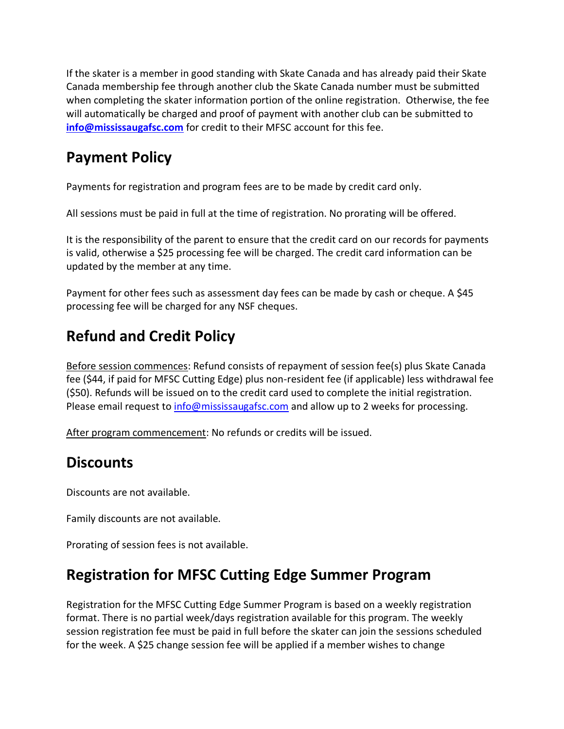If the skater is a member in good standing with Skate Canada and has already paid their Skate Canada membership fee through another club the Skate Canada number must be submitted when completing the skater information portion of the online registration. Otherwise, the fee will automatically be charged and proof of payment with another club can be submitted to **[info@mississaugafsc.com](mailto:cuttingedge@mississaugafsc.com)** for credit to their MFSC account for this fee.

## **Payment Policy**

Payments for registration and program fees are to be made by credit card only.

All sessions must be paid in full at the time of registration. No prorating will be offered.

It is the responsibility of the parent to ensure that the credit card on our records for payments is valid, otherwise a \$25 processing fee will be charged. The credit card information can be updated by the member at any time.

Payment for other fees such as assessment day fees can be made by cash or cheque. A \$45 processing fee will be charged for any NSF cheques.

# **Refund and Credit Policy**

Before session commences: Refund consists of repayment of session fee(s) plus Skate Canada fee (\$44, if paid for MFSC Cutting Edge) plus non-resident fee (if applicable) less withdrawal fee (\$50). Refunds will be issued on to the credit card used to complete the initial registration. Please email request to [info@mississaugafsc.com](mailto:info@mississaugafsc.com) and allow up to 2 weeks for processing.

After program commencement: No refunds or credits will be issued.

# **Discounts**

Discounts are not available.

Family discounts are not available.

Prorating of session fees is not available.

# **Registration for MFSC Cutting Edge Summer Program**

Registration for the MFSC Cutting Edge Summer Program is based on a weekly registration format. There is no partial week/days registration available for this program. The weekly session registration fee must be paid in full before the skater can join the sessions scheduled for the week. A \$25 change session fee will be applied if a member wishes to change